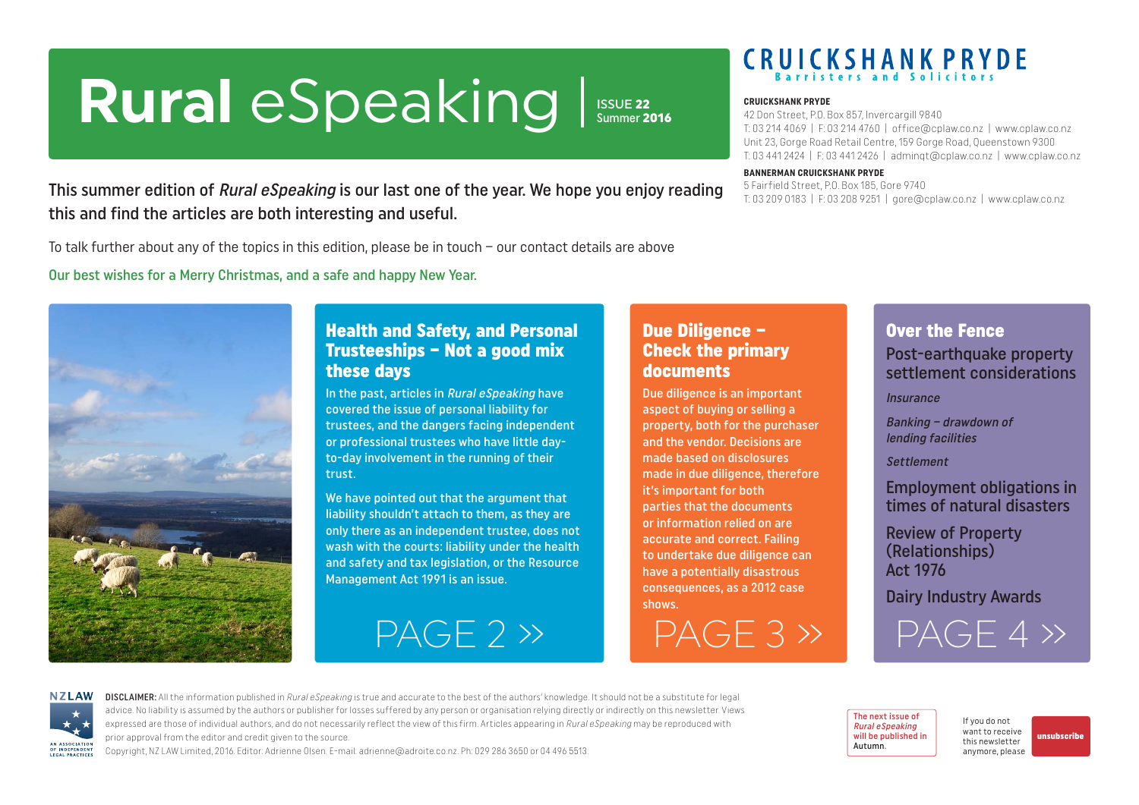# <span id="page-0-0"></span>Rural eSpeaking Issue 22

Summer 2016

# **CRUICKSHANK PRYDE**

#### **CRUICKSHANK PRYDE**

42 Don Street, P.O. Box 857, Invercargill 9840 T: 03 214 4069 | F: 03 214 4760 | office@cplaw.co.nz | www.cplaw.co.nz Unit 23, Gorge Road Retail Centre, 159 Gorge Road, Queenstown 9300 T: 03 441 2424 | F: 03 441 2426 | adminqt@cplaw.co.nz | www.cplaw.co.nz

#### **BANNERMAN CRUICKSHANK PRYDE**

5 Fairfield Street, P.O. Box 185, Gore 9740 T: 03 209 0183 | F: 03 208 9251 | gore@cplaw.co.nz | www.cplaw.co.nz

This summer edition of *Rural eSpeaking* is our last one of the year. We hope you enjoy reading this and find the articles are both interesting and useful.

To talk further about any of the topics in this edition, please be in touch – our contact details are above

Our best wishes for a Merry Christmas, and a safe and happy New Year.



### Health and Safety, and Personal Trusteeships – Not a good mix these days

In the past, articles in Rural eSpeaking have covered the issue of personal liability for trustees, and the dangers facing independent or professional trustees who have little dayto-day involvement in the running of their trust.

We have pointed out that the argument that liability shouldn't attach to them, as they are only there as an independent trustee, does not wash with the courts: liability under the health and safety and tax legislation, or the Resource Management Act 1991 is an issue.

### Due Diligence – Check the primary documents

Due diligence is an important aspect of buying or selling a property, both for the purchaser and the vendor. Decisions are made based on disclosures made in due diligence, therefore it's important for both parties that the documents or information relied on are accurate and correct. Failing to undertake due diligence can have a potentially disastrous consequences, as a 2012 case shows.

[PAGE 2 »](#page-1-0) [PAGE 3 »](#page-2-0)

# Over the Fence

Post-earthquake property settlement considerations

**Insurance** 

Banking – drawdown of lending facilities

Settlement

Employment obligations in times of natural disasters

Review of Property (Relationships) Act 1976

Dairy Industry Awards

 $PAGF 4$ 



DISCLAIMER: All the information published in Rural eSpeaking is true and accurate to the best of the authors' knowledge. It should not be a substitute for legal advice. No liability is assumed by the authors or publisher for losses suffered by any person or organisation relying directly or indirectly on this newsletter. Views expressed are those of individual authors, and do not necessarily reflect the view of this firm. Articles appearing in Rural eSpeaking may be reproduced with prior approval from the editor and credit given to the source.

Copyright, NZ LAW Limited, 2016. Editor: Adrienne Olsen. [E-mail: adrienne@adroite.co.nz](mailto:adrienne@adroite.co.nz). Ph: 029 286 3650 or 04 496 5513.

The next issue of Rural eSpeaking will be published in Autumn.

If you do not want to receive this newsletter anymore, please

[unsubscribe](mailto:adrienne%40adroite.co.nz?subject=Please%20unsubscribe%20me%20from%20Rural%20eSpeaking)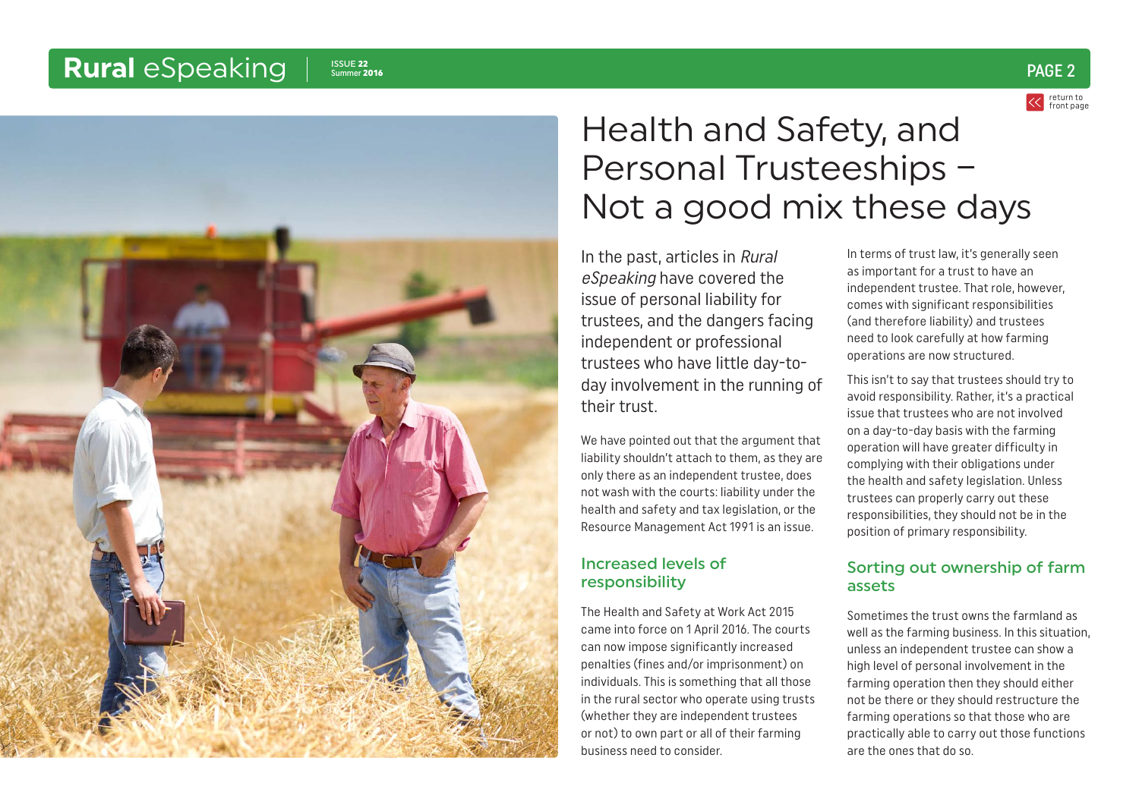<span id="page-1-0"></span>

# Health and Safety, and Personal Trusteeships – Not a good mix these days

In the past, articles in Rural eSpeaking have covered the issue of personal liability for trustees, and the dangers facing independent or professional trustees who have little day-today involvement in the running of their trust.

We have pointed out that the argument that liability shouldn't attach to them, as they are only there as an independent trustee, does not wash with the courts: liability under the health and safety and tax legislation, or the Resource Management Act 1991 is an issue.

### Increased levels of responsibility

The Health and Safety at Work Act 2015 came into force on 1 April 2016. The courts can now impose significantly increased penalties (fines and/or imprisonment) on individuals. This is something that all those in the rural sector who operate using trusts (whether they are independent trustees or not) to own part or all of their farming business need to consider.

In terms of trust law, it's generally seen as important for a trust to have an independent trustee. That role, however, comes with significant responsibilities (and therefore liability) and trustees need to look carefully at how farming operations are now structured.

This isn't to say that trustees should try to avoid responsibility. Rather, it's a practical issue that trustees who are not involved on a day-to-day basis with the farming operation will have greater difficulty in complying with their obligations under the health and safety legislation. Unless trustees can properly carry out these responsibilities, they should not be in the position of primary responsibility.

### Sorting out ownership of farm assets

Sometimes the trust owns the farmland as well as the farming business. In this situation, unless an independent trustee can show a high level of personal involvement in the farming operation then they should either not be there or they should restructure the farming operations so that those who are practically able to carry out those functions are the ones that do so.

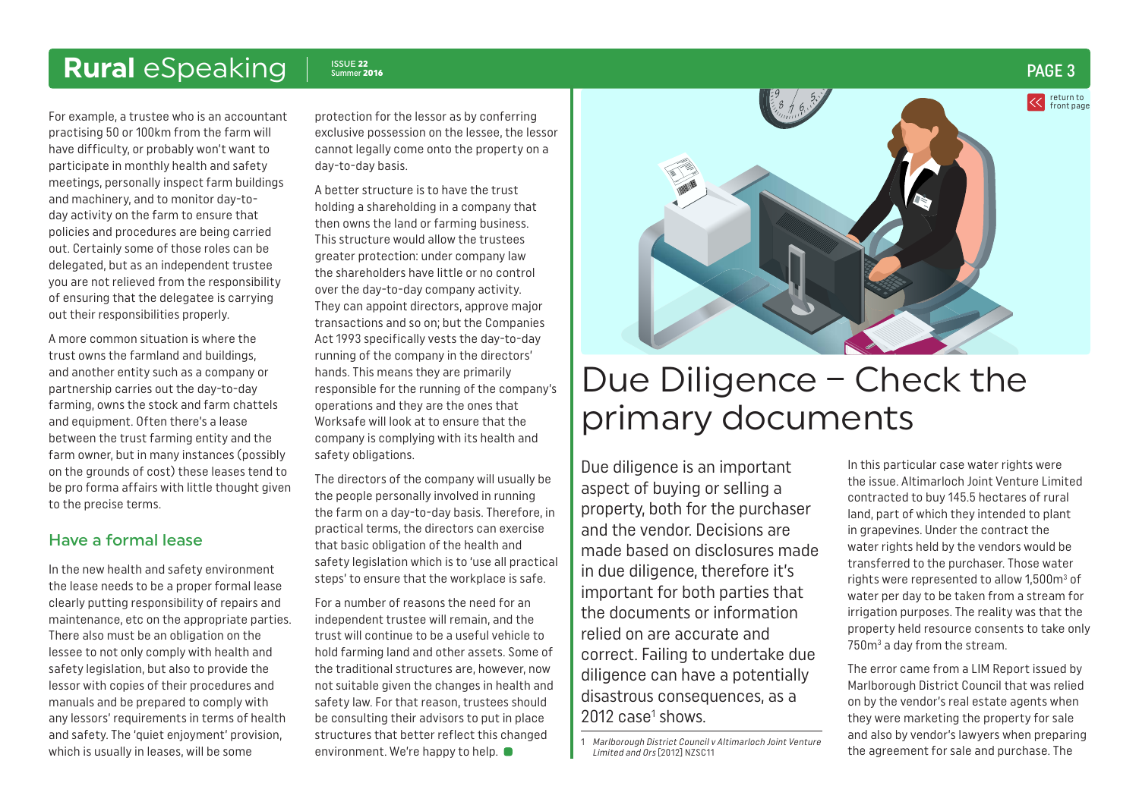<span id="page-2-0"></span>For example, a trustee who is an accountant practising 50 or 100km from the farm will have difficulty, or probably won't want to participate in monthly health and safety meetings, personally inspect farm buildings and machinery, and to monitor day-today activity on the farm to ensure that policies and procedures are being carried out. Certainly some of those roles can be delegated, but as an independent trustee you are not relieved from the responsibility of ensuring that the delegatee is carrying out their responsibilities properly.

A more common situation is where the trust owns the farmland and buildings, and another entity such as a company or partnership carries out the day-to-day farming, owns the stock and farm chattels and equipment. Often there's a lease between the trust farming entity and the farm owner, but in many instances (possibly on the grounds of cost) these leases tend to be pro forma affairs with little thought given to the precise terms.

### Have a formal lease

In the new health and safety environment the lease needs to be a proper formal lease clearly putting responsibility of repairs and maintenance, etc on the appropriate parties. There also must be an obligation on the lessee to not only comply with health and safety legislation, but also to provide the lessor with copies of their procedures and manuals and be prepared to comply with any lessors' requirements in terms of health and safety. The 'quiet enjoyment' provision, which is usually in leases, will be some

protection for the lessor as by conferring exclusive possession on the lessee, the lessor cannot legally come onto the property on a day-to-day basis.

A better structure is to have the trust holding a shareholding in a company that then owns the land or farming business. This structure would allow the trustees greater protection: under company law the shareholders have little or no control over the day-to-day company activity. They can appoint directors, approve major transactions and so on; but the Companies Act 1993 specifically vests the day-to-day running of the company in the directors' hands. This means they are primarily responsible for the running of the company's operations and they are the ones that Worksafe will look at to ensure that the company is complying with its health and safety obligations.

The directors of the company will usually be the people personally involved in running the farm on a day-to-day basis. Therefore, in practical terms, the directors can exercise that basic obligation of the health and safety legislation which is to 'use all practical steps' to ensure that the workplace is safe.

For a number of reasons the need for an independent trustee will remain, and the trust will continue to be a useful vehicle to hold farming land and other assets. Some of the traditional structures are, however, now not suitable given the changes in health and safety law. For that reason, trustees should be consulting their advisors to put in place structures that better reflect this changed environment. We're happy to help.  $\bullet$ 



# Due Diligence – Check the primary documents

Due diligence is an important aspect of buying or selling a property, both for the purchaser and the vendor. Decisions are made based on disclosures made in due diligence, therefore it's important for both parties that the documents or information relied on are accurate and correct. Failing to undertake due diligence can have a potentially disastrous consequences, as a  $2012$  case<sup>1</sup> shows.

1 Marlborough District Council v Altimarloch Joint Venture Limited and Ors [2012] NZSC11

In this particular case water rights were the issue. Altimarloch Joint Venture Limited contracted to buy 145.5 hectares of rural land, part of which they intended to plant in grapevines. Under the contract the water rights held by the vendors would be transferred to the purchaser. Those water rights were represented to allow 1,500 $m^3$  of water per day to be taken from a stream for irrigation purposes. The reality was that the property held resource consents to take only 750m<sup>3</sup> a day from the stream.

The error came from a LIM Report issued by Marlborough District Council that was relied on by the vendor's real estate agents when they were marketing the property for sale and also by vendor's lawyers when preparing the agreement for sale and purchase. The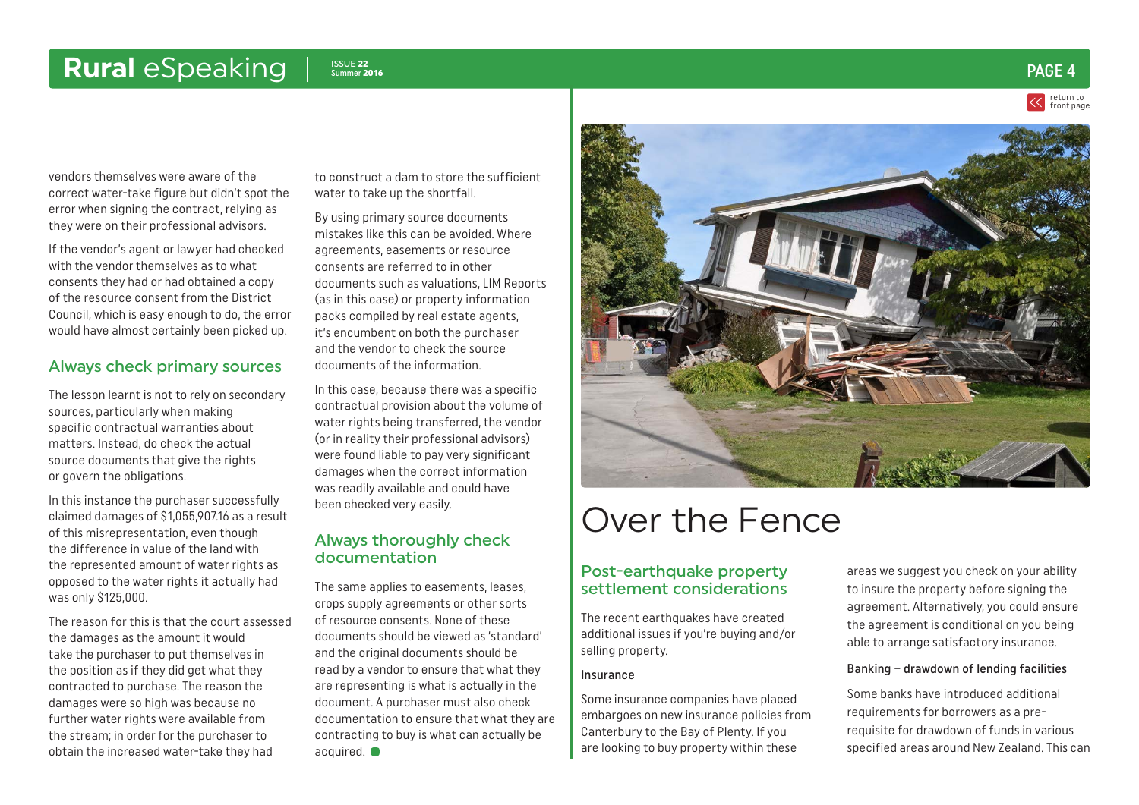<span id="page-3-0"></span>vendors themselves were aware of the correct water-take figure but didn't spot the error when signing the contract, relying as they were on their professional advisors.

If the vendor's agent or lawyer had checked with the vendor themselves as to what consents they had or had obtained a copy of the resource consent from the District Council, which is easy enough to do, the error would have almost certainly been picked up.

### Always check primary sources

The lesson learnt is not to rely on secondary sources, particularly when making specific contractual warranties about matters. Instead, do check the actual source documents that give the rights or govern the obligations.

In this instance the purchaser successfully claimed damages of \$1,055,907.16 as a result of this misrepresentation, even though the difference in value of the land with the represented amount of water rights as opposed to the water rights it actually had was only \$125,000.

The reason for this is that the court assessed the damages as the amount it would take the purchaser to put themselves in the position as if they did get what they contracted to purchase. The reason the damages were so high was because no further water rights were available from the stream; in order for the purchaser to obtain the increased water-take they had

to construct a dam to store the sufficient water to take up the shortfall.

By using primary source documents mistakes like this can be avoided. Where agreements, easements or resource consents are referred to in other documents such as valuations, LIM Reports (as in this case) or property information packs compiled by real estate agents, it's encumbent on both the purchaser and the vendor to check the source documents of the information.

In this case, because there was a specific contractual provision about the volume of water rights being transferred, the vendor (or in reality their professional advisors) were found liable to pay very significant damages when the correct information was readily available and could have been checked very easily.

### Always thoroughly check documentation

The same applies to easements, leases, crops supply agreements or other sorts of resource consents. None of these documents should be viewed as 'standard' and the original documents should be read by a vendor to ensure that what they are representing is what is actually in the document. A purchaser must also check documentation to ensure that what they are contracting to buy is what can actually be acquired.  $\bullet$ 



## Over the Fence

### Post-earthquake property settlement considerations

The recent earthquakes have created additional issues if you're buying and/or selling property.

### Insurance

Some insurance companies have placed embargoes on new insurance policies from Canterbury to the Bay of Plenty. If you are looking to buy property within these

areas we suggest you check on your ability to insure the property before signing the agreement. Alternatively, you could ensure the agreement is conditional on you being able to arrange satisfactory insurance.

### Banking – drawdown of lending facilities

Some banks have introduced additional requirements for borrowers as a prerequisite for drawdown of funds in various specified areas around New Zealand. This can

### Summer <sup>2016</sup> PAGE 4